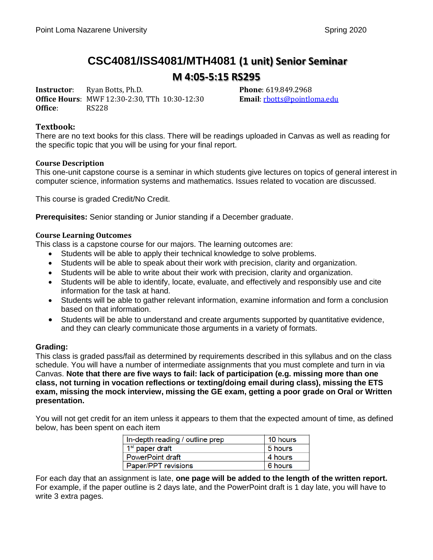# **CSC4081/ISS4081/MTH4081 (1 unit) Senior Seminar M 4:05-5:15 RS295**

**Instructor**: Ryan Botts, Ph.D. **Phone**: 619.849.2968 **Office Hours**: MWF 12:30-2:30, TTh 10:30-12:30 **Email**[: rbotts@pointloma.edu](mailto:rbotts@pointloma.edu) **Office**: RS228

#### **Textbook:**

There are no text books for this class. There will be readings uploaded in Canvas as well as reading for the specific topic that you will be using for your final report.

#### **Course Description**

This one-unit capstone course is a seminar in which students give lectures on topics of general interest in computer science, information systems and mathematics. Issues related to vocation are discussed.

This course is graded Credit/No Credit.

**Prerequisites:** Senior standing or Junior standing if a December graduate.

#### **Course Learning Outcomes**

This class is a capstone course for our majors. The learning outcomes are:

- Students will be able to apply their technical knowledge to solve problems.
- Students will be able to speak about their work with precision, clarity and organization.
- Students will be able to write about their work with precision, clarity and organization.
- Students will be able to identify, locate, evaluate, and effectively and responsibly use and cite information for the task at hand.
- Students will be able to gather relevant information, examine information and form a conclusion based on that information.
- Students will be able to understand and create arguments supported by quantitative evidence, and they can clearly communicate those arguments in a variety of formats.

#### **Grading:**

This class is graded pass/fail as determined by requirements described in this syllabus and on the class schedule. You will have a number of intermediate assignments that you must complete and turn in via Canvas. **Note that there are five ways to fail: lack of participation (e.g. missing more than one class, not turning in vocation reflections or texting/doing email during class), missing the ETS exam, missing the mock interview, missing the GE exam, getting a poor grade on Oral or Written presentation.** 

You will not get credit for an item unless it appears to them that the expected amount of time, as defined below, has been spent on each item

| In-depth reading / outline prep | 10 hours |
|---------------------------------|----------|
| 1 <sup>st</sup> paper draft     | 5 hours  |
| <b>PowerPoint draft</b>         | 4 hours  |
| Paper/PPT revisions             | 6 hours  |

For each day that an assignment is late, **one page will be added to the length of the written report.**  For example, if the paper outline is 2 days late, and the PowerPoint draft is 1 day late, you will have to write 3 extra pages.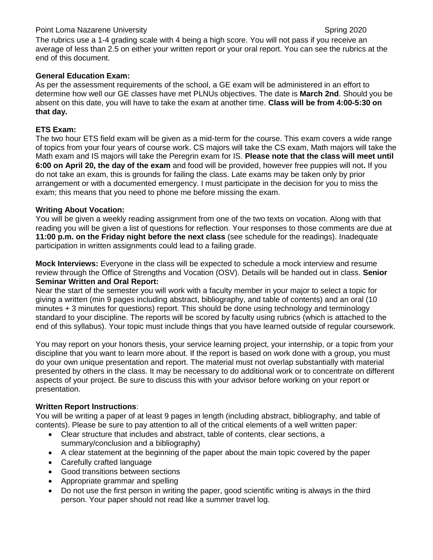### Point Loma Nazarene University Spring 2020

The rubrics use a 1-4 grading scale with 4 being a high score. You will not pass if you receive an average of less than 2.5 on either your written report or your oral report. You can see the rubrics at the end of this document.

### **General Education Exam:**

As per the assessment requirements of the school, a GE exam will be administered in an effort to determine how well our GE classes have met PLNUs objectives. The date is **March 2nd**. Should you be absent on this date, you will have to take the exam at another time. **Class will be from 4:00-5:30 on that day.** 

#### **ETS Exam:**

The two hour ETS field exam will be given as a mid-term for the course. This exam covers a wide range of topics from your four years of course work. CS majors will take the CS exam, Math majors will take the Math exam and IS majors will take the Peregrin exam for IS. **Please note that the class will meet until 6:00 on April 20, the day of the exam** and food will be provided, however free puppies will not**.** If you do not take an exam, this is grounds for failing the class. Late exams may be taken only by prior arrangement or with a documented emergency. I must participate in the decision for you to miss the exam; this means that you need to phone me before missing the exam.

#### **Writing About Vocation:**

You will be given a weekly reading assignment from one of the two texts on vocation. Along with that reading you will be given a list of questions for reflection. Your responses to those comments are due at **11:00 p.m. on the Friday night before the next class** (see schedule for the readings). Inadequate participation in written assignments could lead to a failing grade.

**Mock Interviews:** Everyone in the class will be expected to schedule a mock interview and resume review through the Office of Strengths and Vocation (OSV). Details will be handed out in class. **Senior Seminar Written and Oral Report:** 

Near the start of the semester you will work with a faculty member in your major to select a topic for giving a written (min 9 pages including abstract, bibliography, and table of contents) and an oral (10 minutes + 3 minutes for questions) report. This should be done using technology and terminology standard to your discipline. The reports will be scored by faculty using rubrics (which is attached to the end of this syllabus). Your topic must include things that you have learned outside of regular coursework.

You may report on your honors thesis, your service learning project, your internship, or a topic from your discipline that you want to learn more about. If the report is based on work done with a group, you must do your own unique presentation and report. The material must not overlap substantially with material presented by others in the class. It may be necessary to do additional work or to concentrate on different aspects of your project. Be sure to discuss this with your advisor before working on your report or presentation.

### **Written Report Instructions**:

You will be writing a paper of at least 9 pages in length (including abstract, bibliography, and table of contents). Please be sure to pay attention to all of the critical elements of a well written paper:

- Clear structure that includes and abstract, table of contents, clear sections, a summary/conclusion and a bibliography)
- A clear statement at the beginning of the paper about the main topic covered by the paper
- Carefully crafted language
- Good transitions between sections
- Appropriate grammar and spelling
- Do not use the first person in writing the paper, good scientific writing is always in the third person. Your paper should not read like a summer travel log.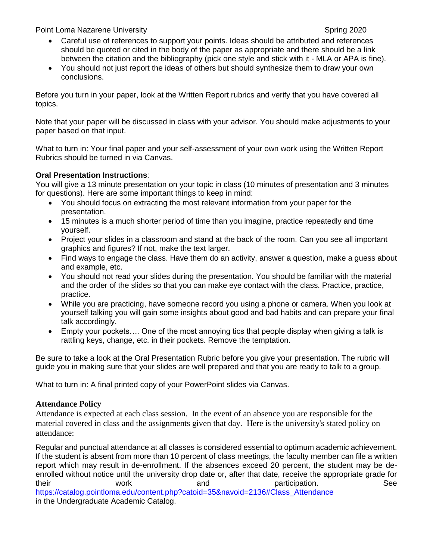Point Loma Nazarene University Spring 2020 Spring 2020

- Careful use of references to support your points. Ideas should be attributed and references should be quoted or cited in the body of the paper as appropriate and there should be a link between the citation and the bibliography (pick one style and stick with it - MLA or APA is fine).
- You should not just report the ideas of others but should synthesize them to draw your own conclusions.

Before you turn in your paper, look at the Written Report rubrics and verify that you have covered all topics.

Note that your paper will be discussed in class with your advisor. You should make adjustments to your paper based on that input.

What to turn in: Your final paper and your self-assessment of your own work using the Written Report Rubrics should be turned in via Canvas.

### **Oral Presentation Instructions**:

You will give a 13 minute presentation on your topic in class (10 minutes of presentation and 3 minutes for questions). Here are some important things to keep in mind:

- You should focus on extracting the most relevant information from your paper for the presentation.
- 15 minutes is a much shorter period of time than you imagine, practice repeatedly and time yourself.
- Project your slides in a classroom and stand at the back of the room. Can you see all important graphics and figures? If not, make the text larger.
- Find ways to engage the class. Have them do an activity, answer a question, make a guess about and example, etc.
- You should not read your slides during the presentation. You should be familiar with the material and the order of the slides so that you can make eye contact with the class. Practice, practice, practice.
- While you are practicing, have someone record you using a phone or camera. When you look at yourself talking you will gain some insights about good and bad habits and can prepare your final talk accordingly.
- Empty your pockets…. One of the most annoying tics that people display when giving a talk is rattling keys, change, etc. in their pockets. Remove the temptation.

Be sure to take a look at the Oral Presentation Rubric before you give your presentation. The rubric will guide you in making sure that your slides are well prepared and that you are ready to talk to a group.

What to turn in: A final printed copy of your PowerPoint slides via Canvas.

### **Attendance Policy**

Attendance is expected at each class session. In the event of an absence you are responsible for the material covered in class and the assignments given that day. Here is the university's stated policy on attendance:

Regular and punctual attendance at all classes is considered essential to optimum academic achievement. If the student is absent from more than 10 percent of class meetings, the faculty member can file a written report which may result in de-enrollment. If the absences exceed 20 percent, the student may be deenrolled without notice until the university drop date or, after that date, receive the appropriate grade for their their work and participation. See [https://catalog.pointloma.edu/content.php?catoid=35&navoid=2136#Class\\_Attendance](https://catalog.pointloma.edu/content.php?catoid=35&navoid=2136#Class_Attendance) in the Undergraduate Academic Catalog.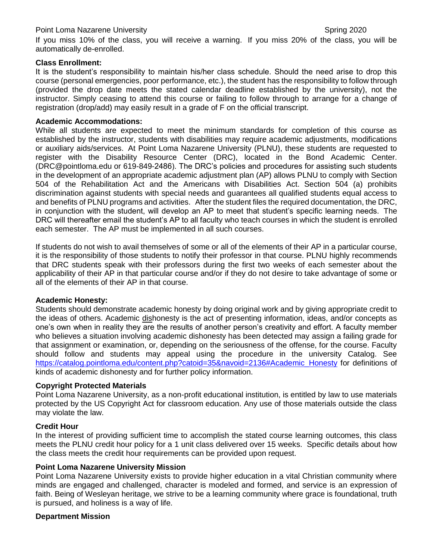#### Point Loma Nazarene University Spring 2020 Spring 2020

If you miss 10% of the class, you will receive a warning. If you miss 20% of the class, you will be automatically de-enrolled.

#### **Class Enrollment:**

It is the student's responsibility to maintain his/her class schedule. Should the need arise to drop this course (personal emergencies, poor performance, etc.), the student has the responsibility to follow through (provided the drop date meets the stated calendar deadline established by the university), not the instructor. Simply ceasing to attend this course or failing to follow through to arrange for a change of registration (drop/add) may easily result in a grade of F on the official transcript.

#### **Academic Accommodations:**

While all students are expected to meet the minimum standards for completion of this course as established by the instructor, students with disabilities may require academic adjustments, modifications or auxiliary aids/services. At Point Loma Nazarene University (PLNU), these students are requested to register with the Disability Resource Center (DRC), located in the Bond Academic Center. [\(DRC@pointloma.edu](mailto:DRC@pointloma.edu) or 619-849-2486). The DRC's policies and procedures for assisting such students in the development of an appropriate academic adjustment plan (AP) allows PLNU to comply with Section 504 of the Rehabilitation Act and the Americans with Disabilities Act. Section 504 (a) prohibits discrimination against students with special needs and guarantees all qualified students equal access to and benefits of PLNU programs and activities. After the student files the required documentation, the DRC, in conjunction with the student, will develop an AP to meet that student's specific learning needs. The DRC will thereafter email the student's AP to all faculty who teach courses in which the student is enrolled each semester. The AP must be implemented in all such courses.

If students do not wish to avail themselves of some or all of the elements of their AP in a particular course, it is the responsibility of those students to notify their professor in that course. PLNU highly recommends that DRC students speak with their professors during the first two weeks of each semester about the applicability of their AP in that particular course and/or if they do not desire to take advantage of some or all of the elements of their AP in that course.

#### **Academic Honesty:**

Students should demonstrate academic honesty by doing original work and by giving appropriate credit to the ideas of others. Academic dishonesty is the act of presenting information, ideas, and/or concepts as one's own when in reality they are the results of another person's creativity and effort. A faculty member who believes a situation involving academic dishonesty has been detected may assign a failing grade for that assignment or examination, or, depending on the seriousness of the offense, for the course. Faculty should follow and students may appeal using the procedure in the university Catalog. See [https://catalog.pointloma.edu/content.php?catoid=35&navoid=2136#Academic\\_Honesty](https://catalog.pointloma.edu/content.php?catoid=35&navoid=2136#Academic_Honesty) for definitions of kinds of academic dishonesty and for further policy information.

### **Copyright Protected Materials**

Point Loma Nazarene University, as a non-profit educational institution, is entitled by law to use materials protected by the US Copyright Act for classroom education. Any use of those materials outside the class may violate the law.

### **Credit Hour**

In the interest of providing sufficient time to accomplish the stated course learning outcomes, this class meets the PLNU credit hour policy for a 1 unit class delivered over 15 weeks. Specific details about how the class meets the credit hour requirements can be provided upon request.

#### **Point Loma Nazarene University Mission**

Point Loma Nazarene University exists to provide higher education in a vital Christian community where minds are engaged and challenged, character is modeled and formed, and service is an expression of faith. Being of Wesleyan heritage, we strive to be a learning community where grace is foundational, truth is pursued, and holiness is a way of life.

### **Department Mission**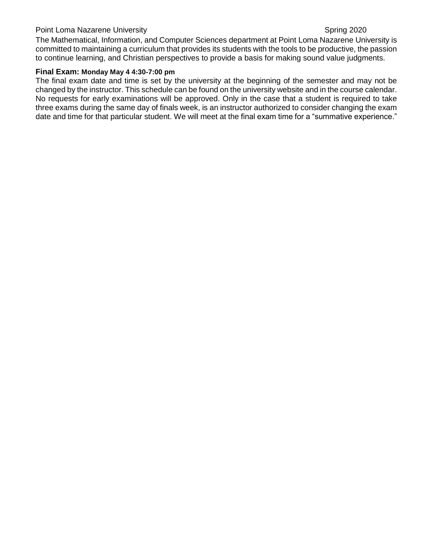### Point Loma Nazarene University Spring 2020

The Mathematical, Information, and Computer Sciences department at Point Loma Nazarene University is committed to maintaining a curriculum that provides its students with the tools to be productive, the passion to continue learning, and Christian perspectives to provide a basis for making sound value judgments.

#### **Final Exam: Monday May 4 4:30-7:00 pm**

The final exam date and time is set by the university at the beginning of the semester and may not be changed by the instructor. This schedule can be found on the university website and in the course calendar. No requests for early examinations will be approved. Only in the case that a student is required to take three exams during the same day of finals week, is an instructor authorized to consider changing the exam date and time for that particular student. We will meet at the final exam time for a "summative experience."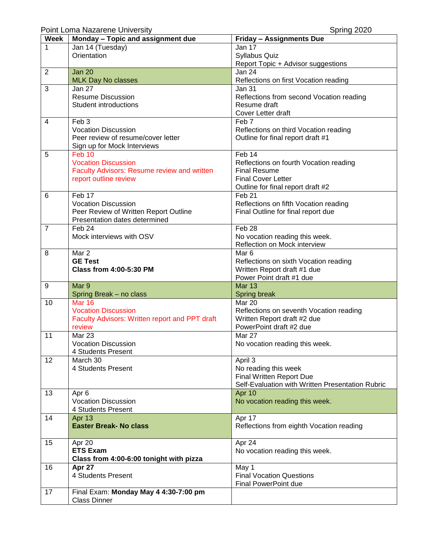Point Loma Nazarene University **Spring 2020** 

| <b>Week</b>    | Monday - Topic and assignment due              | <b>Friday - Assignments Due</b>                  |
|----------------|------------------------------------------------|--------------------------------------------------|
| 1              | Jan 14 (Tuesday)                               | Jan 17                                           |
|                | Orientation                                    | <b>Syllabus Quiz</b>                             |
|                |                                                | Report Topic + Advisor suggestions               |
| $\overline{2}$ | <b>Jan 20</b>                                  | Jan 24                                           |
|                | <b>MLK Day No classes</b>                      | Reflections on first Vocation reading            |
| 3              | Jan 27                                         | Jan 31                                           |
|                | <b>Resume Discussion</b>                       | Reflections from second Vocation reading         |
|                | Student introductions                          | Resume draft                                     |
|                |                                                | Cover Letter draft                               |
| 4              | Feb <sub>3</sub>                               | Feb 7                                            |
|                | <b>Vocation Discussion</b>                     | Reflections on third Vocation reading            |
|                | Peer review of resume/cover letter             | Outline for final report draft #1                |
|                | Sign up for Mock Interviews                    |                                                  |
| 5              | Feb <sub>10</sub>                              | Feb 14                                           |
|                | <b>Vocation Discussion</b>                     | Reflections on fourth Vocation reading           |
|                | Faculty Advisors: Resume review and written    | <b>Final Resume</b>                              |
|                | report outline review                          | <b>Final Cover Letter</b>                        |
|                |                                                | Outline for final report draft #2                |
| 6              | Feb 17                                         | Feb <sub>21</sub>                                |
|                | <b>Vocation Discussion</b>                     | Reflections on fifth Vocation reading            |
|                | Peer Review of Written Report Outline          | Final Outline for final report due               |
|                | Presentation dates determined                  |                                                  |
| $\overline{7}$ | Feb 24                                         | Feb <sub>28</sub>                                |
|                | Mock interviews with OSV                       | No vocation reading this week.                   |
|                |                                                | Reflection on Mock interview                     |
| 8              | Mar 2                                          | Mar <sub>6</sub>                                 |
|                | <b>GE Test</b>                                 | Reflections on sixth Vocation reading            |
|                | <b>Class from 4:00-5:30 PM</b>                 | Written Report draft #1 due                      |
|                |                                                | Power Point draft #1 due                         |
| 9              | Mar 9                                          | <b>Mar 13</b>                                    |
|                | Spring Break - no class                        | Spring break                                     |
| 10             | <b>Mar 16</b>                                  | Mar 20                                           |
|                | <b>Vocation Discussion</b>                     | Reflections on seventh Vocation reading          |
|                | Faculty Advisors: Written report and PPT draft | Written Report draft #2 due                      |
|                | review                                         | PowerPoint draft #2 due                          |
| 11             | Mar 23                                         | <b>Mar 27</b>                                    |
|                | <b>Vocation Discussion</b>                     | No vocation reading this week.                   |
|                | 4 Students Present                             |                                                  |
| 12             | March 30                                       | April 3                                          |
|                | 4 Students Present                             | No reading this week                             |
|                |                                                | Final Written Report Due                         |
|                |                                                | Self-Evaluation with Written Presentation Rubric |
| 13             | Apr 6                                          | Apr 10                                           |
|                | <b>Vocation Discussion</b>                     | No vocation reading this week.                   |
|                | 4 Students Present                             |                                                  |
| 14             | Apr 13                                         | Apr 17                                           |
|                | <b>Easter Break- No class</b>                  | Reflections from eighth Vocation reading         |
|                |                                                |                                                  |
| 15             | Apr 20                                         | Apr 24                                           |
|                | <b>ETS Exam</b>                                | No vocation reading this week.                   |
|                | Class from 4:00-6:00 tonight with pizza        |                                                  |
| 16             | Apr 27                                         | May 1                                            |
|                | 4 Students Present                             | <b>Final Vocation Questions</b>                  |
|                |                                                | Final PowerPoint due                             |
| 17             | Final Exam: Monday May 4 4:30-7:00 pm          |                                                  |
|                | <b>Class Dinner</b>                            |                                                  |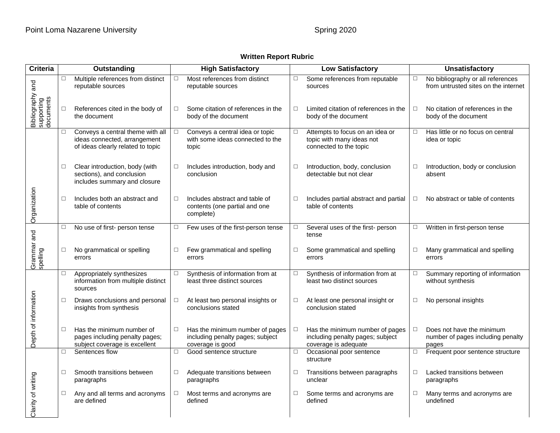### **Written Report Rubric**

| <b>Criteria</b>                             | Outstanding |                                                                                                       | <b>High Satisfactory</b> |                                                                                         | <b>Low Satisfactory</b> |                                                                                             | <b>Unsatisfactory</b> |                                                                           |
|---------------------------------------------|-------------|-------------------------------------------------------------------------------------------------------|--------------------------|-----------------------------------------------------------------------------------------|-------------------------|---------------------------------------------------------------------------------------------|-----------------------|---------------------------------------------------------------------------|
|                                             | $\Box$      | Multiple references from distinct<br>reputable sources                                                | $\Box$                   | Most references from distinct<br>reputable sources                                      | $\Box$                  | Some references from reputable<br>sources                                                   | $\Box$                | No bibliography or all references<br>from untrusted sites on the internet |
| Bibliography and<br>supporting<br>documents | $\Box$      | References cited in the body of<br>the document                                                       | $\Box$                   | Some citation of references in the<br>body of the document                              | $\Box$                  | Limited citation of references in the<br>body of the document                               | □                     | No citation of references in the<br>body of the document                  |
|                                             | $\Box$      | Conveys a central theme with all<br>ideas connected, arrangement<br>of ideas clearly related to topic | $\Box$                   | Conveys a central idea or topic<br>with some ideas connected to the<br>topic            | $\Box$                  | Attempts to focus on an idea or<br>topic with many ideas not<br>connected to the topic      | $\Box$                | Has little or no focus on central<br>idea or topic                        |
|                                             | $\Box$      | Clear introduction, body (with<br>sections), and conclusion<br>includes summary and closure           | $\Box$                   | Includes introduction, body and<br>conclusion                                           | □                       | Introduction, body, conclusion<br>detectable but not clear                                  | □                     | Introduction, body or conclusion<br>absent                                |
| Organization                                | $\Box$      | Includes both an abstract and<br>table of contents                                                    | $\Box$                   | Includes abstract and table of<br>contents (one partial and one<br>complete)            | $\Box$                  | Includes partial abstract and partial<br>table of contents                                  | □                     | No abstract or table of contents                                          |
|                                             | $\Box$      | No use of first- person tense                                                                         | $\Box$                   | Few uses of the first-person tense                                                      | $\Box$                  | Several uses of the first- person<br>tense                                                  | □                     | Written in first-person tense                                             |
| Grammar and<br>spelling                     | $\Box$      | No grammatical or spelling<br>errors                                                                  | $\Box$                   | Few grammatical and spelling<br>errors                                                  | $\Box$                  | Some grammatical and spelling<br>errors                                                     | $\Box$                | Many grammatical and spelling<br>errors                                   |
|                                             | □           | Appropriately synthesizes<br>information from multiple distinct<br>sources                            | $\Box$                   | Synthesis of information from at<br>least three distinct sources                        | □                       | Synthesis of information from at<br>least two distinct sources                              | □                     | Summary reporting of information<br>without synthesis                     |
| Depth of information                        | $\Box$      | Draws conclusions and personal<br>insights from synthesis                                             | $\Box$                   | At least two personal insights or<br>conclusions stated                                 | □                       | At least one personal insight or<br>conclusion stated                                       | □                     | No personal insights                                                      |
|                                             | $\Box$      | Has the minimum number of<br>pages including penalty pages;<br>subject coverage is excellent          | $\Box$                   | Has the minimum number of pages<br>including penalty pages; subject<br>coverage is good | □                       | Has the minimum number of pages<br>including penalty pages; subject<br>coverage is adequate | □                     | Does not have the minimum<br>number of pages including penalty<br>pages   |
|                                             | $\Box$      | Sentences flow                                                                                        | $\Box$                   | Good sentence structure                                                                 | $\Box$                  | Occasional poor sentence<br>structure                                                       | $\Box$                | Frequent poor sentence structure                                          |
|                                             | $\Box$      | Smooth transitions between<br>paragraphs                                                              | □                        | Adequate transitions between<br>paragraphs                                              | $\Box$                  | Transitions between paragraphs<br>unclear                                                   | $\Box$                | Lacked transitions between<br>paragraphs                                  |
| Clarity of writing                          | $\Box$      | Any and all terms and acronyms<br>are defined                                                         | $\Box$                   | Most terms and acronyms are<br>defined                                                  | $\Box$                  | Some terms and acronyms are<br>defined                                                      | □                     | Many terms and acronyms are<br>undefined                                  |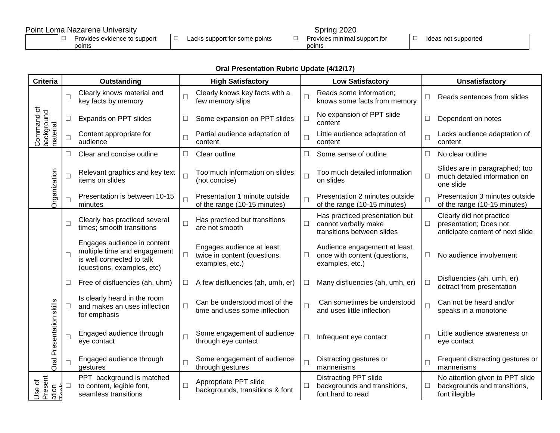#### Point Loma Nazarene University Spring 2020 □ Provides evidence to support points □ Lacks support for some points □ Spring 2020<br>□ Provides minimal support for points □ Ideas not supported

## **Oral Presentation Rubric Update (4/12/17)**

| <b>Criteria</b>                      | Outstanding |                                                                                                                        | <b>High Satisfactory</b> |                                                                              | <b>Low Satisfactory</b> |                                                                                      | <b>Unsatisfactory</b> |                                                                                        |
|--------------------------------------|-------------|------------------------------------------------------------------------------------------------------------------------|--------------------------|------------------------------------------------------------------------------|-------------------------|--------------------------------------------------------------------------------------|-----------------------|----------------------------------------------------------------------------------------|
| Command of<br>background<br>material | П           | Clearly knows material and<br>key facts by memory                                                                      | П                        | Clearly knows key facts with a<br>few memory slips                           | $\Box$                  | Reads some information;<br>knows some facts from memory                              | $\Box$                | Reads sentences from slides                                                            |
|                                      | $\Box$      | Expands on PPT slides                                                                                                  | $\Box$                   | Some expansion on PPT slides                                                 | $\Box$                  | No expansion of PPT slide<br>content                                                 | $\Box$                | Dependent on notes                                                                     |
|                                      | □           | Content appropriate for<br>audience                                                                                    | П                        | Partial audience adaptation of<br>content                                    | $\Box$                  | Little audience adaptation of<br>content                                             | $\Box$                | Lacks audience adaptation of<br>content                                                |
|                                      | $\Box$      | Clear and concise outline                                                                                              | $\Box$                   | Clear outline                                                                | П                       | Some sense of outline                                                                | $\Box$                | No clear outline                                                                       |
| Organization                         | □           | Relevant graphics and key text<br>items on slides                                                                      |                          | Too much information on slides<br>(not concise)                              | $\Box$                  | Too much detailed information<br>on slides                                           | $\Box$                | Slides are in paragraphed; too<br>much detailed information on<br>one slide            |
|                                      | П           | Presentation is between 10-15<br>minutes                                                                               | П                        | Presentation 1 minute outside<br>of the range (10-15 minutes)                | $\Box$                  | Presentation 2 minutes outside<br>of the range (10-15 minutes)                       | $\Box$                | Presentation 3 minutes outside<br>of the range (10-15 minutes)                         |
|                                      | П           | Clearly has practiced several<br>times; smooth transitions                                                             | $\Box$                   | Has practiced but transitions<br>are not smooth                              | $\Box$                  | Has practiced presentation but<br>cannot verbally make<br>transitions between slides | $\Box$                | Clearly did not practice<br>presentation; Does not<br>anticipate content of next slide |
|                                      | П           | Engages audience in content<br>multiple time and engagement<br>is well connected to talk<br>(questions, examples, etc) | $\Box$                   | Engages audience at least<br>twice in content (questions,<br>examples, etc.) | $\Box$                  | Audience engagement at least<br>once with content (questions,<br>examples, etc.)     | $\Box$                | No audience involvement                                                                |
|                                      | □           | Free of disfluencies (ah, uhm)                                                                                         | $\Box$                   | A few disfluencies (ah, umh, er)                                             | □                       | Many disfluencies (ah, umh, er)                                                      | $\Box$                | Disfluencies (ah, umh, er)<br>detract from presentation                                |
|                                      | $\Box$      | Is clearly heard in the room<br>and makes an uses inflection<br>for emphasis                                           | П                        | Can be understood most of the<br>time and uses some inflection               | $\Box$                  | Can sometimes be understood<br>and uses little inflection                            | $\Box$                | Can not be heard and/or<br>speaks in a monotone                                        |
| Oral Presentation skills             | □           | Engaged audience through<br>eye contact                                                                                | П                        | Some engagement of audience<br>through eye contact                           | $\Box$                  | Infrequent eye contact                                                               | $\Box$                | Little audience awareness or<br>eye contact                                            |
|                                      | П           | Engaged audience through<br>gestures                                                                                   | П                        | Some engagement of audience<br>through gestures                              | $\Box$                  | Distracting gestures or<br>mannerisms                                                | $\Box$                | Frequent distracting gestures or<br>mannerisms                                         |
| Use of<br>Present<br>ation           | $\Box$      | PPT background is matched<br>to content, legible font,<br>seamless transitions                                         | П                        | Appropriate PPT slide<br>backgrounds, transitions & font                     | $\Box$                  | <b>Distracting PPT slide</b><br>backgrounds and transitions,<br>font hard to read    | $\Box$                | No attention given to PPT slide<br>backgrounds and transitions,<br>font illegible      |